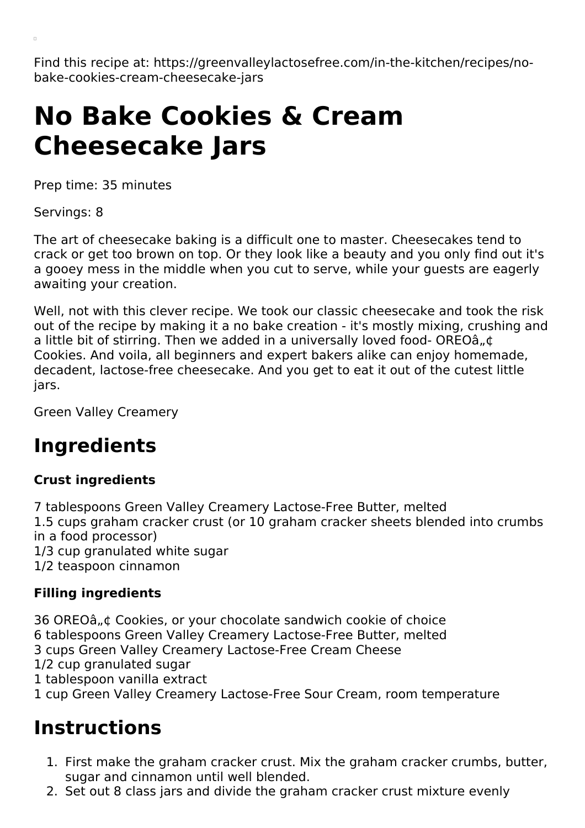Find this recipe at: https://greenvalleylactosefree.com/in-the-kitchen/recipes/nobake-cookies-cream-cheesecake-jars

# **No Bake Cookies & Cream Cheesecake Jars**

Prep time: 35 minutes

Servings: 8

The art of cheesecake baking is a difficult one to master. Cheesecakes tend to crack or get too brown on top. Or they look like a beauty and you only find out it's a gooey mess in the middle when you cut to serve, while your guests are eagerly awaiting your creation.

Well, not with this clever recipe. We took our classic cheesecake and took the risk out of the recipe by making it a no bake creation - it's mostly mixing, crushing and a little bit of stirring. Then we added in a universally loved food- OREOâ, ¢ Cookies. And voila, all beginners and expert bakers alike can enjoy homemade, decadent, lactose-free cheesecake. And you get to eat it out of the cutest little jars.

Green Valley Creamery

## **Ingredients**

#### **Crust ingredients**

7 tablespoons Green Valley Creamery Lactose-Free Butter, melted 1.5 cups graham cracker crust (or 10 graham cracker sheets blended into crumbs in a food processor) 1/3 cup granulated white sugar 1/2 teaspoon cinnamon

#### **Filling ingredients**

36 OREOâ ...t Cookies, or your chocolate sandwich cookie of choice tablespoons Green Valley Creamery Lactose-Free Butter, melted cups Green Valley Creamery Lactose-Free Cream Cheese 1/2 cup granulated sugar tablespoon vanilla extract cup Green Valley Creamery Lactose-Free Sour Cream, room temperature

### **Instructions**

- 1. First make the graham cracker crust. Mix the graham cracker crumbs, butter, sugar and cinnamon until well blended.
- 2. Set out 8 class jars and divide the graham cracker crust mixture evenly